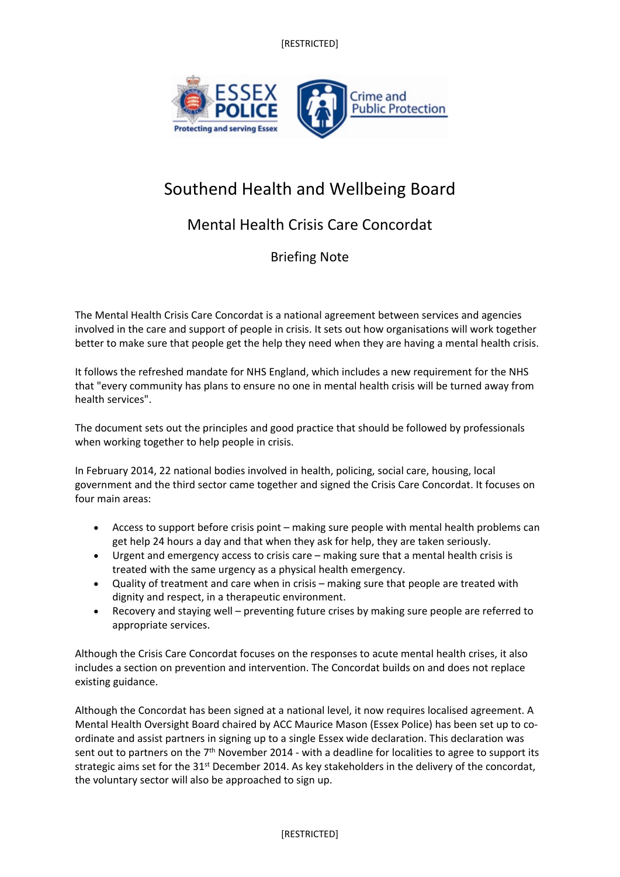[RESTRICTED]



## Southend Health and Wellbeing Board

## Mental Health Crisis Care Concordat

Briefing Note

The Mental Health Crisis Care Concordat is a national agreement between services and agencies involved in the care and support of people in crisis. It sets out how organisations will work together better to make sure that people get the help they need when they are having a mental health crisis.

It follows the refreshed mandate for NHS England, which includes a new requirement for the NHS that "every community has plans to ensure no one in mental health crisis will be turned away from health services".

The document sets out the principles and good practice that should be followed by professionals when working together to help people in crisis.

In February 2014, 22 national bodies involved in health, policing, social care, housing, local government and the third sector came together and signed the Crisis Care Concordat. It focuses on four main areas:

- Access to support before crisis point making sure people with mental health problems can get help 24 hours a day and that when they ask for help, they are taken seriously.
- Urgent and emergency access to crisis care making sure that a mental health crisis is treated with the same urgency as a physical health emergency.
- Quality of treatment and care when in crisis making sure that people are treated with dignity and respect, in a therapeutic environment.
- Recovery and staying well preventing future crises by making sure people are referred to appropriate services.

Although the Crisis Care Concordat focuses on the responses to acute mental health crises, it also includes a section on prevention and intervention. The Concordat builds on and does not replace existing guidance.

Although the Concordat has been signed at a national level, it now requires localised agreement. A Mental Health Oversight Board chaired by ACC Maurice Mason (Essex Police) has been set up to coordinate and assist partners in signing up to a single Essex wide declaration. This declaration was sent out to partners on the 7<sup>th</sup> November 2014 - with a deadline for localities to agree to support its strategic aims set for the 31<sup>st</sup> December 2014. As key stakeholders in the delivery of the concordat, the voluntary sector will also be approached to sign up.

## [RESTRICTED]